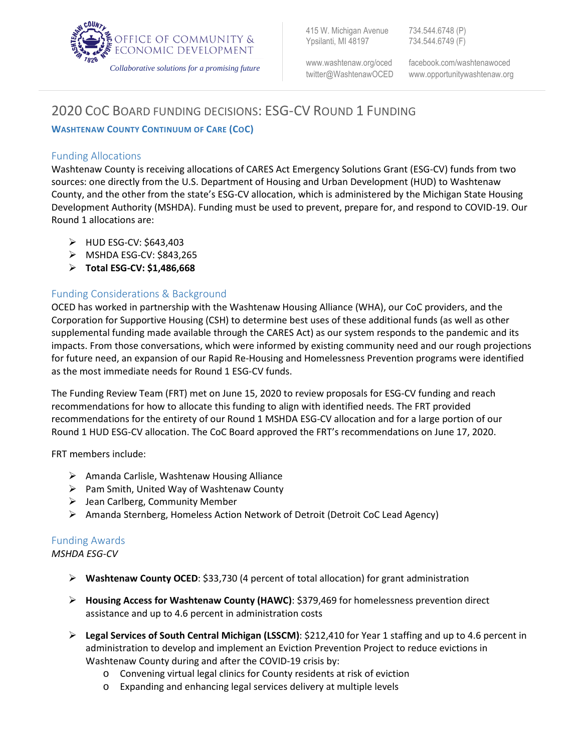

415 W. Michigan Avenue 734.544.6748 (P) Ypsilanti, MI 48197 734.544.6749 (F)

ww[w.washtenaw.org/oced](http://www.ewashtenaw.org/oced) facebook.com/washtenawoced twitter@WashtenawOCED www.opportunitywashtenaw.org

# 2020 COC BOARD FUNDING DECISIONS: ESG-CV ROUND 1 FUNDING

**WASHTENAW COUNTY CONTINUUM OF CARE (COC)** 

## Funding Allocations

Washtenaw County is receiving allocations of CARES Act Emergency Solutions Grant (ESG-CV) funds from two sources: one directly from the U.S. Department of Housing and Urban Development (HUD) to Washtenaw County, and the other from the state's ESG-CV allocation, which is administered by the Michigan State Housing Development Authority (MSHDA). Funding must be used to prevent, prepare for, and respond to COVID-19. Our Round 1 allocations are:

- $\blacktriangleright$  HUD ESG-CV: \$643,403
- $\triangleright$  MSHDA ESG-CV: \$843,265
- **Total ESG-CV: \$1,486,668**

## Funding Considerations & Background

OCED has worked in partnership with the Washtenaw Housing Alliance (WHA), our CoC providers, and the Corporation for Supportive Housing (CSH) to determine best uses of these additional funds (as well as other supplemental funding made available through the CARES Act) as our system responds to the pandemic and its impacts. From those conversations, which were informed by existing community need and our rough projections for future need, an expansion of our Rapid Re-Housing and Homelessness Prevention programs were identified as the most immediate needs for Round 1 ESG-CV funds.

The Funding Review Team (FRT) met on June 15, 2020 to review proposals for ESG-CV funding and reach recommendations for how to allocate this funding to align with identified needs. The FRT provided recommendations for the entirety of our Round 1 MSHDA ESG-CV allocation and for a large portion of our Round 1 HUD ESG-CV allocation. The CoC Board approved the FRT's recommendations on June 17, 2020.

FRT members include:

- $\triangleright$  Amanda Carlisle, Washtenaw Housing Alliance
- $\triangleright$  Pam Smith, United Way of Washtenaw County
- $\triangleright$  Jean Carlberg, Community Member
- Amanda Sternberg, Homeless Action Network of Detroit (Detroit CoC Lead Agency)

### Funding Awards *MSHDA ESG-CV*

- **Washtenaw County OCED**: \$33,730 (4 percent of total allocation) for grant administration
- **Housing Access for Washtenaw County (HAWC)**: \$379,469 for homelessness prevention direct assistance and up to 4.6 percent in administration costs
- **Legal Services of South Central Michigan (LSSCM)**: \$212,410 for Year 1 staffing and up to 4.6 percent in administration to develop and implement an Eviction Prevention Project to reduce evictions in Washtenaw County during and after the COVID-19 crisis by:
	- o Convening virtual legal clinics for County residents at risk of eviction
	- o Expanding and enhancing legal services delivery at multiple levels